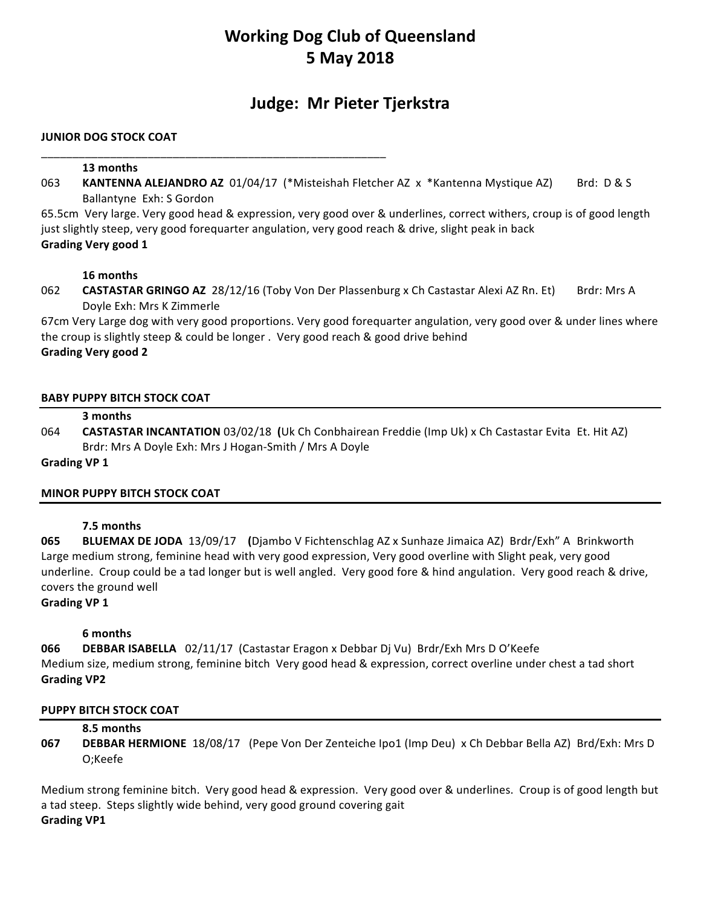## **Working Dog Club of Queensland 5 May 2018**

## **Judge: Mr Pieter Tjerkstra**

### **JUNIOR DOG STOCK COAT**

\_\_\_\_\_\_\_\_\_\_\_\_\_\_\_\_\_\_\_\_\_\_\_\_\_\_\_\_\_\_\_\_\_\_\_\_\_\_\_\_\_\_\_\_\_\_\_\_\_\_\_\_\_\_\_ 

#### **13 months**

063 **KANTENNA ALEJANDRO AZ** 01/04/17 (\*Misteishah Fletcher AZ x \*Kantenna Mystique AZ) Brd: D & S Ballantyne Exh: S Gordon

65.5cm Very large. Very good head & expression, very good over & underlines, correct withers, croup is of good length just slightly steep, very good forequarter angulation, very good reach & drive, slight peak in back **Grading Very good 1**

#### **16 months**

062 **CASTASTAR GRINGO AZ** 28/12/16 (Toby Von Der Plassenburg x Ch Castastar Alexi AZ Rn. Et) Brdr: Mrs A Doyle Exh: Mrs K Zimmerle

67cm Very Large dog with very good proportions. Very good forequarter angulation, very good over & under lines where the croup is slightly steep & could be longer . Very good reach & good drive behind **Grading Very good 2**

#### **BABY PUPPY BITCH STOCK COAT**

#### **3 months**

064 **CASTASTAR INCANTATION** 03/02/18 (Uk Ch Conbhairean Freddie (Imp Uk) x Ch Castastar Evita Et. Hit AZ) Brdr: Mrs A Doyle Exh: Mrs J Hogan-Smith / Mrs A Doyle

#### Grading VP 1

## **MINOR PUPPY BITCH STOCK COAT**

#### **7.5 months**

**065 BLUEMAX DE JODA** 13/09/17 (Djambo V Fichtenschlag AZ x Sunhaze Jimaica AZ) Brdr/Exh" A Brinkworth Large medium strong, feminine head with very good expression, Very good overline with Slight peak, very good underline. Croup could be a tad longer but is well angled. Very good fore & hind angulation. Very good reach & drive, covers the ground well

# **Grading VP 1**

#### **6 months**

**066 DEBBAR ISABELLA** 02/11/17 (Castastar Eragon x Debbar Dj Vu) Brdr/Exh Mrs D O'Keefe Medium size, medium strong, feminine bitch Very good head & expression, correct overline under chest a tad short **Grading VP2**

#### **PUPPY BITCH STOCK COAT**

#### **8.5 months**

**067 DEBBAR HERMIONE** 18/08/17 (Pepe Von Der Zenteiche Ipo1 (Imp Deu) x Ch Debbar Bella AZ) Brd/Exh: Mrs D O;Keefe

Medium strong feminine bitch. Very good head & expression. Very good over & underlines. Croup is of good length but a tad steep. Steps slightly wide behind, very good ground covering gait **Grading VP1**